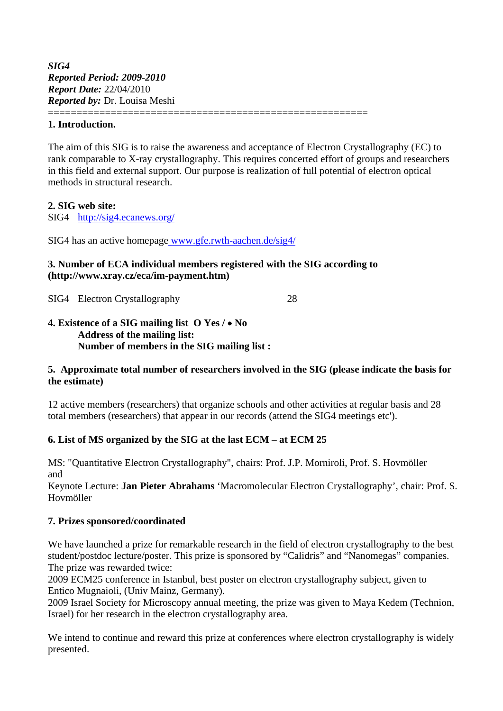#### **1. Introduction.**

The aim of this SIG is to raise the awareness and acceptance of Electron Crystallography (EC) to rank comparable to X-ray crystallography. This requires concerted effort of groups and researchers in this field and external support. Our purpose is realization of full potential of electron optical methods in structural research.

### **2. SIG web site:**

SIG4 <http://sig4.ecanews.org/>

SIG4 has an active homepage [www.gfe.rwth-aachen.de/sig4/](http://www.gfe.rwth-aachen.de/sig4/)

## **3. Number of ECA individual members registered with the SIG according to ([http://www.xray.cz/eca/im-payment.htm\)](http://www.xray.cz/eca/im-payment.htm)**

========================================================

SIG4 Electron Crystallography 28

#### **4. Existence of a SIG mailing list O Yes / No Address of the mailing list: Number of members in the SIG mailing list :**

### **5. Approximate total number of researchers involved in the SIG (please indicate the basis for the estimate)**

12 active members (researchers) that organize schools and other activities at regular basis and 28 total members (researchers) that appear in our records (attend the SIG4 meetings etc').

### **6. List of MS organized by the SIG at the last ECM – at ECM 25**

MS: "Quantitative Electron Crystallography", chairs: Prof. J.P. Morniroli, Prof. S. Hovmöller and

Keynote Lecture: **Jan Pieter Abrahams** 'Macromolecular Electron Crystallography', chair: Prof. S. Hovmöller

### **7. Prizes sponsored/coordinated**

We have launched a prize for remarkable research in the field of electron crystallography to the best student/postdoc lecture/poster. This prize is sponsored by "Calidris" and "Nanomegas" companies. The prize was rewarded twice:

2009 ECM25 conference in Istanbul, best poster on electron crystallography subject, given to Entico Mugnaioli, (Univ Mainz, Germany).

2009 Israel Society for Microscopy annual meeting, the prize was given to Maya Kedem (Technion, Israel) for her research in the electron crystallography area.

We intend to continue and reward this prize at conferences where electron crystallography is widely presented.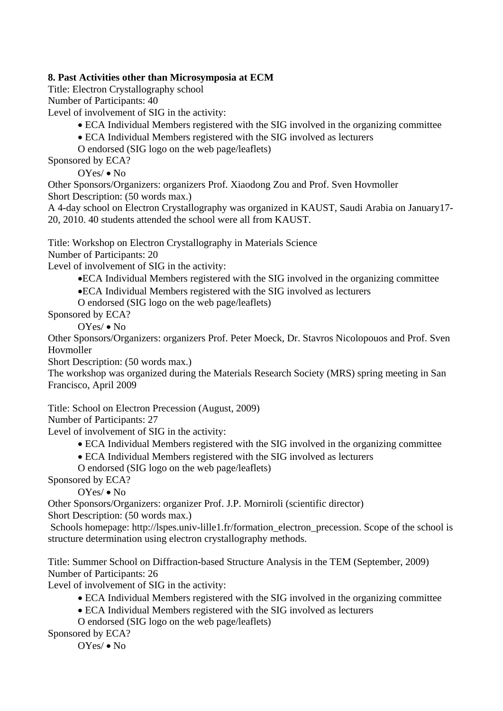## **8. Past Activities other than Microsymposia at ECM**

Title: Electron Crystallography school

Number of Participants: 40

Level of involvement of SIG in the activity:

- ECA Individual Members registered with the SIG involved in the organizing committee
- ECA Individual Members registered with the SIG involved as lecturers
- O endorsed (SIG logo on the web page/leaflets)

Sponsored by ECA?

 $OYes/ \bullet No$ 

Other Sponsors/Organizers: organizers Prof. Xiaodong Zou and Prof. Sven Hovmoller Short Description: (50 words max.)

A 4-day school on Electron Crystallography was organized in KAUST, Saudi Arabia on January17- 20, 2010. 40 students attended the school were all from KAUST.

Title: Workshop on Electron Crystallography in Materials Science

Number of Participants: 20

Level of involvement of SIG in the activity:

ECA Individual Members registered with the SIG involved in the organizing committee

ECA Individual Members registered with the SIG involved as lecturers

O endorsed (SIG logo on the web page/leaflets)

Sponsored by ECA?

OYes/ • No

Other Sponsors/Organizers: organizers Prof. Peter Moeck, Dr. Stavros Nicolopouos and Prof. Sven Hovmoller

Short Description: (50 words max.)

The workshop was organized during the Materials Research Society (MRS) spring meeting in San Francisco, April 2009

Title: School on Electron Precession (August, 2009)

Number of Participants: 27

Level of involvement of SIG in the activity:

- ECA Individual Members registered with the SIG involved in the organizing committee
- ECA Individual Members registered with the SIG involved as lecturers

O endorsed (SIG logo on the web page/leaflets)

Sponsored by ECA?

 $OYes/ \bullet No$ 

Other Sponsors/Organizers: organizer Prof. J.P. Morniroli (scientific director) Short Description: (50 words max.)

 Schools homepage: [http://lspes.univ-lille1.fr/formation\\_electron\\_precession.](http://lspes.univ-lille1.fr/formation_electron_precession.) Scope of the school is structure determination using electron crystallography methods.

Title: Summer School on Diffraction-based Structure Analysis in the TEM (September, 2009) Number of Participants: 26

Level of involvement of SIG in the activity:

ECA Individual Members registered with the SIG involved in the organizing committee

ECA Individual Members registered with the SIG involved as lecturers

O endorsed (SIG logo on the web page/leaflets)

Sponsored by ECA?

OYes/ • No